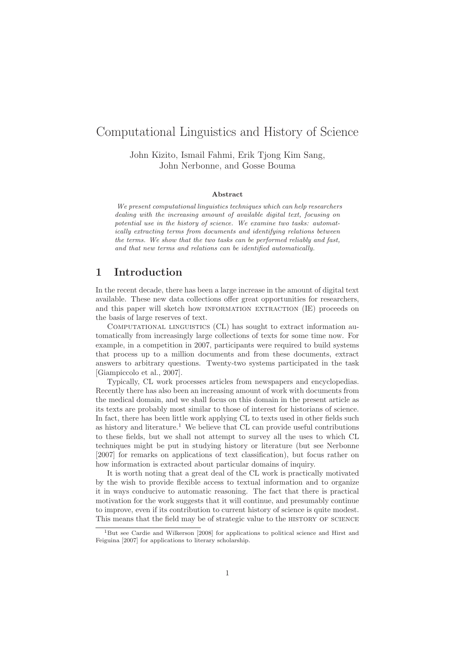# Computational Linguistics and History of Science

John Kizito, Ismail Fahmi, Erik Tjong Kim Sang, John Nerbonne, and Gosse Bouma

#### Abstract

We present computational linguistics techniques which can help researchers dealing with the increasing amount of available digital text, focusing on potential use in the history of science. We examine two tasks: automatically extracting terms from documents and identifying relations between the terms. We show that the two tasks can be performed reliably and fast, and that new terms and relations can be identified automatically.

## 1 Introduction

In the recent decade, there has been a large increase in the amount of digital text available. These new data collections offer great opportunities for researchers, and this paper will sketch how INFORMATION EXTRACTION (IE) proceeds on the basis of large reserves of text.

COMPUTATIONAL LINGUISTICS (CL) has sought to extract information automatically from increasingly large collections of texts for some time now. For example, in a competition in 2007, participants were required to build systems that process up to a million documents and from these documents, extract answers to arbitrary questions. Twenty-two systems participated in the task [Giampiccolo et al., 2007].

Typically, CL work processes articles from newspapers and encyclopedias. Recently there has also been an increasing amount of work with documents from the medical domain, and we shall focus on this domain in the present article as its texts are probably most similar to those of interest for historians of science. In fact, there has been little work applying CL to texts used in other fields such as history and literature.<sup>1</sup> We believe that CL can provide useful contributions to these fields, but we shall not attempt to survey all the uses to which CL techniques might be put in studying history or literature (but see Nerbonne [2007] for remarks on applications of text classification), but focus rather on how information is extracted about particular domains of inquiry.

It is worth noting that a great deal of the CL work is practically motivated by the wish to provide flexible access to textual information and to organize it in ways conducive to automatic reasoning. The fact that there is practical motivation for the work suggests that it will continue, and presumably continue to improve, even if its contribution to current history of science is quite modest. This means that the field may be of strategic value to the HISTORY OF SCIENCE

<sup>&</sup>lt;sup>1</sup>But see Cardie and Wilkerson [2008] for applications to political science and Hirst and Feiguina [2007] for applications to literary scholarship.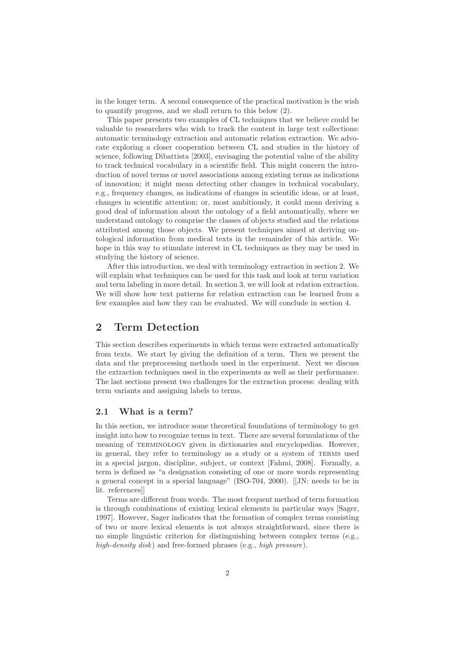in the longer term. A second consequence of the practical motivation is the wish to quantify progress, and we shall return to this below (2).

This paper presents two examples of CL techniques that we believe could be valuable to researchers who wish to track the content in large text collections: automatic terminology extraction and automatic relation extraction. We advocate exploring a closer cooperation between CL and studies in the history of science, following Dibattista [2003], envisaging the potential value of the ability to track technical vocabulary in a scientific field. This might concern the introduction of novel terms or novel associations among existing terms as indications of innovation; it might mean detecting other changes in technical vocabulary, e.g., frequency changes, as indications of changes in scientific ideas, or at least, changes in scientific attention; or, most ambitiously, it could mean deriving a good deal of information about the ontology of a field automatically, where we understand ontology to comprise the classes of objects studied and the relations attributed among those objects. We present techniques aimed at deriving ontological information from medical texts in the remainder of this article. We hope in this way to stimulate interest in CL techniques as they may be used in studying the history of science.

After this introduction, we deal with terminology extraction in section 2. We will explain what techniques can be used for this task and look at term variation and term labeling in more detail. In section 3, we will look at relation extraction. We will show how text patterns for relation extraction can be learned from a few examples and how they can be evaluated. We will conclude in section 4.

## 2 Term Detection

This section describes experiments in which terms were extracted automatically from texts. We start by giving the definition of a term. Then we present the data and the preprocessing methods used in the experiment. Next we discuss the extraction techniques used in the experiments as well as their performance. The last sections present two challenges for the extraction process: dealing with term variants and assigning labels to terms.

#### 2.1 What is a term?

In this section, we introduce some theoretical foundations of terminology to get insight into how to recognize terms in text. There are several formulations of the meaning of TERMINOLOGY given in dictionaries and encyclopedias. However, in general, they refer to terminology as a study or a system of terms used in a special jargon, discipline, subject, or context [Fahmi, 2008]. Formally, a term is defined as "a designation consisting of one or more words representing a general concept in a special language" (ISO-704, 2000). [[JN: needs to be in lit. references]]

Terms are different from words. The most frequent method of term formation is through combinations of existing lexical elements in particular ways [Sager, 1997]. However, Sager indicates that the formation of complex terms consisting of two or more lexical elements is not always straightforward, since there is no simple linguistic criterion for distinguishing between complex terms (e.g., high-density disk) and free-formed phrases (e.g., high pressure).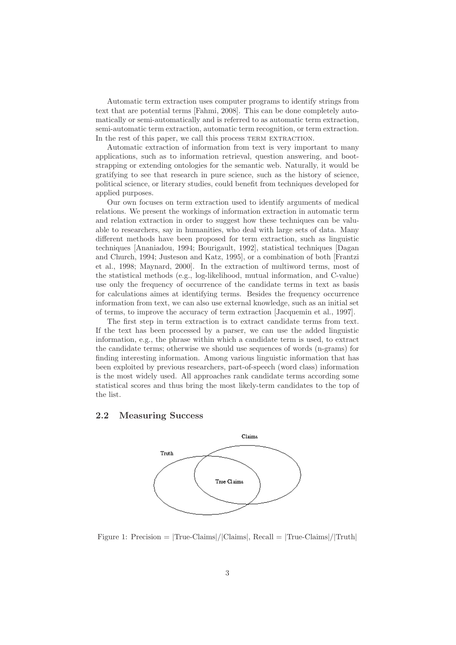Automatic term extraction uses computer programs to identify strings from text that are potential terms [Fahmi, 2008]. This can be done completely automatically or semi-automatically and is referred to as automatic term extraction, semi-automatic term extraction, automatic term recognition, or term extraction. In the rest of this paper, we call this process TERM EXTRACTION.

Automatic extraction of information from text is very important to many applications, such as to information retrieval, question answering, and bootstrapping or extending ontologies for the semantic web. Naturally, it would be gratifying to see that research in pure science, such as the history of science, political science, or literary studies, could benefit from techniques developed for applied purposes.

Our own focuses on term extraction used to identify arguments of medical relations. We present the workings of information extraction in automatic term and relation extraction in order to suggest how these techniques can be valuable to researchers, say in humanities, who deal with large sets of data. Many different methods have been proposed for term extraction, such as linguistic techniques [Ananiadou, 1994; Bourigault, 1992], statistical techniques [Dagan and Church, 1994; Justeson and Katz, 1995], or a combination of both [Frantzi et al., 1998; Maynard, 2000]. In the extraction of multiword terms, most of the statistical methods (e.g., log-likelihood, mutual information, and C-value) use only the frequency of occurrence of the candidate terms in text as basis for calculations aimes at identifying terms. Besides the frequency occurrence information from text, we can also use external knowledge, such as an initial set of terms, to improve the accuracy of term extraction [Jacquemin et al., 1997].

The first step in term extraction is to extract candidate terms from text. If the text has been processed by a parser, we can use the added linguistic information, e.g., the phrase within which a candidate term is used, to extract the candidate terms; otherwise we should use sequences of words (n-grams) for finding interesting information. Among various linguistic information that has been exploited by previous researchers, part-of-speech (word class) information is the most widely used. All approaches rank candidate terms according some statistical scores and thus bring the most likely-term candidates to the top of the list.

### 2.2 Measuring Success



Figure 1: Precision  $= |\text{True-Clains}|/|\text{Clains}|$ , Recall  $= |\text{True-Clains}|/|\text{Truth}|$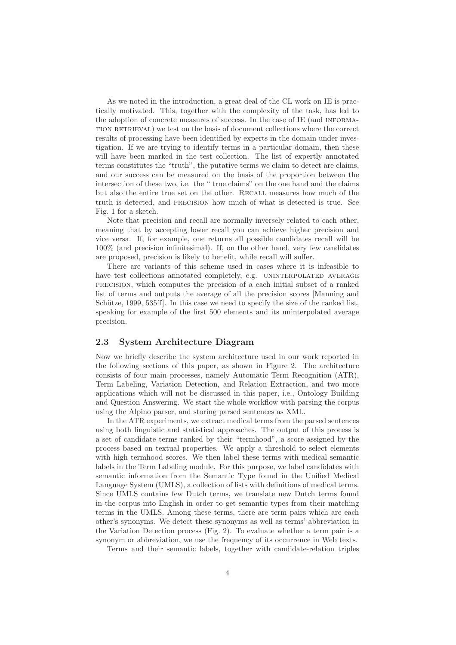As we noted in the introduction, a great deal of the CL work on IE is practically motivated. This, together with the complexity of the task, has led to the adoption of concrete measures of success. In the case of IE (and information retrieval) we test on the basis of document collections where the correct results of processing have been identified by experts in the domain under investigation. If we are trying to identify terms in a particular domain, then these will have been marked in the test collection. The list of expertly annotated terms constitutes the "truth", the putative terms we claim to detect are claims, and our success can be measured on the basis of the proportion between the intersection of these two, i.e. the " true claims" on the one hand and the claims but also the entire true set on the other. Recall measures how much of the truth is detected, and precision how much of what is detected is true. See Fig. 1 for a sketch.

Note that precision and recall are normally inversely related to each other, meaning that by accepting lower recall you can achieve higher precision and vice versa. If, for example, one returns all possible candidates recall will be 100% (and precision infinitesimal). If, on the other hand, very few candidates are proposed, precision is likely to benefit, while recall will suffer.

There are variants of this scheme used in cases where it is infeasible to have test collections annotated completely, e.g. UNINTERPOLATED AVERAGE precision, which computes the precision of a each initial subset of a ranked list of terms and outputs the average of all the precision scores [Manning and Schütze, 1999, 535ff. In this case we need to specify the size of the ranked list, speaking for example of the first 500 elements and its uninterpolated average precision.

#### 2.3 System Architecture Diagram

Now we briefly describe the system architecture used in our work reported in the following sections of this paper, as shown in Figure 2. The architecture consists of four main processes, namely Automatic Term Recognition (ATR), Term Labeling, Variation Detection, and Relation Extraction, and two more applications which will not be discussed in this paper, i.e., Ontology Building and Question Answering. We start the whole workflow with parsing the corpus using the Alpino parser, and storing parsed sentences as XML.

In the ATR experiments, we extract medical terms from the parsed sentences using both linguistic and statistical approaches. The output of this process is a set of candidate terms ranked by their "termhood", a score assigned by the process based on textual properties. We apply a threshold to select elements with high termhood scores. We then label these terms with medical semantic labels in the Term Labeling module. For this purpose, we label candidates with semantic information from the Semantic Type found in the Unified Medical Language System (UMLS), a collection of lists with definitions of medical terms. Since UMLS contains few Dutch terms, we translate new Dutch terms found in the corpus into English in order to get semantic types from their matching terms in the UMLS. Among these terms, there are term pairs which are each other's synonyms. We detect these synonyms as well as terms' abbreviation in the Variation Detection process (Fig. 2). To evaluate whether a term pair is a synonym or abbreviation, we use the frequency of its occurrence in Web texts.

Terms and their semantic labels, together with candidate-relation triples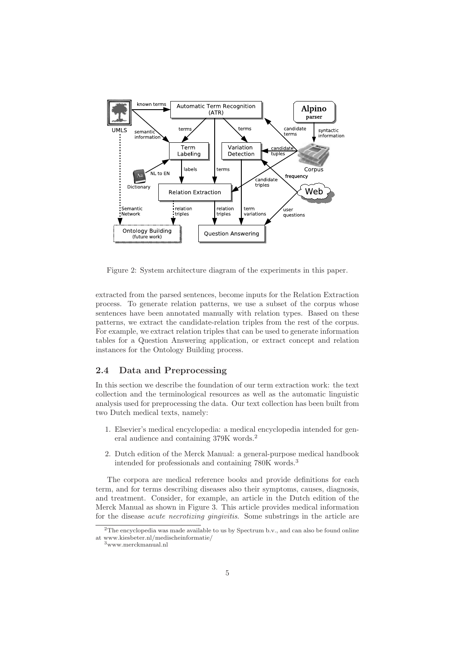

Figure 2: System architecture diagram of the experiments in this paper.

extracted from the parsed sentences, become inputs for the Relation Extraction process. To generate relation patterns, we use a subset of the corpus whose sentences have been annotated manually with relation types. Based on these patterns, we extract the candidate-relation triples from the rest of the corpus. For example, we extract relation triples that can be used to generate information tables for a Question Answering application, or extract concept and relation instances for the Ontology Building process.

#### 2.4 Data and Preprocessing

In this section we describe the foundation of our term extraction work: the text collection and the terminological resources as well as the automatic linguistic analysis used for preprocessing the data. Our text collection has been built from two Dutch medical texts, namely:

- 1. Elsevier's medical encyclopedia: a medical encyclopedia intended for general audience and containing 379K words.<sup>2</sup>
- 2. Dutch edition of the Merck Manual: a general-purpose medical handbook intended for professionals and containing 780K words.<sup>3</sup>

The corpora are medical reference books and provide definitions for each term, and for terms describing diseases also their symptoms, causes, diagnosis, and treatment. Consider, for example, an article in the Dutch edition of the Merck Manual as shown in Figure 3. This article provides medical information for the disease acute necrotizing gingivitis. Some substrings in the article are

 $2$ The encyclopedia was made available to us by Spectrum b.v., and can also be found online at www.kiesbeter.nl/medischeinformatie/

<sup>3</sup>www.merckmanual.nl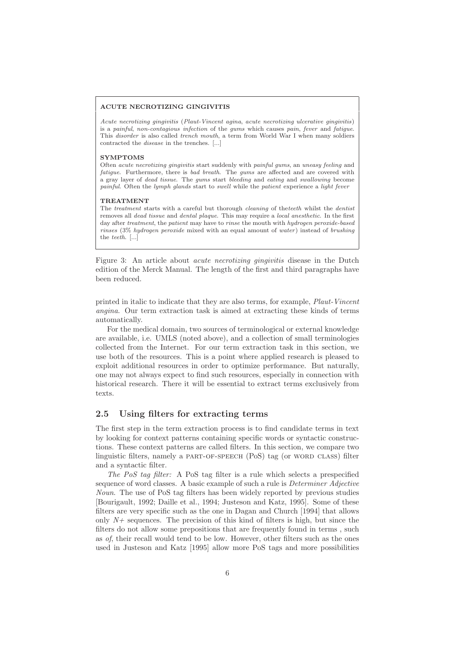#### ACUTE NECROTIZING GINGIVITIS

Acute necrotizing gingivitis (Plaut-Vincent agina, acute necrotizing ulcerative gingivitis) is a painful, non-contagious infection of the gums which causes pain, fever and fatigue. This disorder is also called trench mouth, a term from World War I when many soldiers contracted the disease in the trenches. [...]

#### **SYMPTOMS**

Often acute necrotizing gingivitis start suddenly with painful gums, an uneasy feeling and fatigue. Furthermore, there is bad breath. The gums are affected and are covered with a gray layer of dead tissue. The gums start bleeding and eating and swallowing become painful. Often the lymph glands start to swell while the patient experience a light fever

#### **TREATMENT**

The treatment starts with a careful but thorough *cleaning* of the teeth whilst the *dentist* removes all *dead tissue* and *dental plaque*. This may require a *local anesthetic*. In the first day after treatment, the patient may have to rinse the mouth with hydrogen peroxide-based rinses (3% hydrogen peroxide mixed with an equal amount of water) instead of brushing the teeth. [...]

Figure 3: An article about *acute necrotizing gingivitis* disease in the Dutch edition of the Merck Manual. The length of the first and third paragraphs have been reduced.

printed in italic to indicate that they are also terms, for example, Plaut-Vincent angina. Our term extraction task is aimed at extracting these kinds of terms automatically.

For the medical domain, two sources of terminological or external knowledge are available, i.e. UMLS (noted above), and a collection of small terminologies collected from the Internet. For our term extraction task in this section, we use both of the resources. This is a point where applied research is pleased to exploit additional resources in order to optimize performance. But naturally, one may not always expect to find such resources, especially in connection with historical research. There it will be essential to extract terms exclusively from texts.

### 2.5 Using filters for extracting terms

The first step in the term extraction process is to find candidate terms in text by looking for context patterns containing specific words or syntactic constructions. These context patterns are called filters. In this section, we compare two linguistic filters, namely a PART-OF-SPEECH (PoS) tag (or WORD CLASS) filter and a syntactic filter.

The PoS tag filter: A PoS tag filter is a rule which selects a prespecified sequence of word classes. A basic example of such a rule is *Determiner Adjective* Noun. The use of PoS tag filters has been widely reported by previous studies [Bourigault, 1992; Daille et al., 1994; Justeson and Katz, 1995]. Some of these filters are very specific such as the one in Dagan and Church [1994] that allows only  $N<sub>+</sub>$  sequences. The precision of this kind of filters is high, but since the filters do not allow some prepositions that are frequently found in terms , such as of, their recall would tend to be low. However, other filters such as the ones used in Justeson and Katz [1995] allow more PoS tags and more possibilities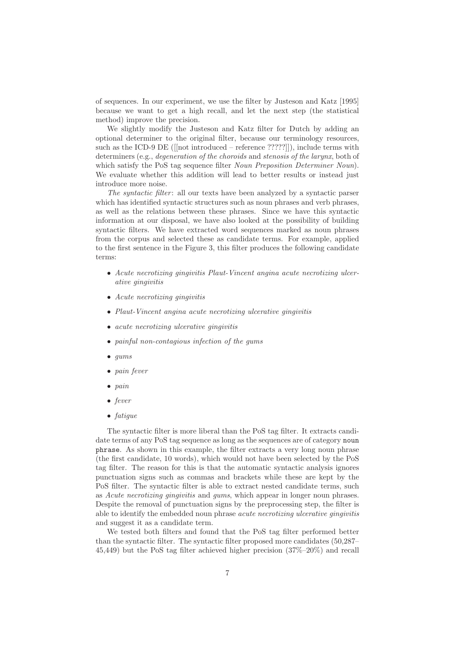of sequences. In our experiment, we use the filter by Justeson and Katz [1995] because we want to get a high recall, and let the next step (the statistical method) improve the precision.

We slightly modify the Justeson and Katz filter for Dutch by adding an optional determiner to the original filter, because our terminology resources, such as the ICD-9 DE ([[not introduced – reference ?????]]), include terms with determiners (e.g., degeneration of the choroids and stenosis of the larynx, both of which satisfy the PoS tag sequence filter Noun Preposition Determiner Noun). We evaluate whether this addition will lead to better results or instead just introduce more noise.

The syntactic filter: all our texts have been analyzed by a syntactic parser which has identified syntactic structures such as noun phrases and verb phrases, as well as the relations between these phrases. Since we have this syntactic information at our disposal, we have also looked at the possibility of building syntactic filters. We have extracted word sequences marked as noun phrases from the corpus and selected these as candidate terms. For example, applied to the first sentence in the Figure 3, this filter produces the following candidate terms:

- Acute necrotizing gingivitis Plaut-Vincent angina acute necrotizing ulcerative gingivitis
- Acute necrotizing gingivitis
- Plaut-Vincent angina acute necrotizing ulcerative gingivitis
- acute necrotizing ulcerative gingivitis
- painful non-contagious infection of the gums
- $\bullet$  gums
- pain fever
- pain
- fever
- fatigue

The syntactic filter is more liberal than the PoS tag filter. It extracts candidate terms of any PoS tag sequence as long as the sequences are of category noun phrase. As shown in this example, the filter extracts a very long noun phrase (the first candidate, 10 words), which would not have been selected by the PoS tag filter. The reason for this is that the automatic syntactic analysis ignores punctuation signs such as commas and brackets while these are kept by the PoS filter. The syntactic filter is able to extract nested candidate terms, such as Acute necrotizing gingivitis and gums, which appear in longer noun phrases. Despite the removal of punctuation signs by the preprocessing step, the filter is able to identify the embedded noun phrase *acute necrotizing ulcerative gingivitis* and suggest it as a candidate term.

We tested both filters and found that the PoS tag filter performed better than the syntactic filter. The syntactic filter proposed more candidates (50,287– 45,449) but the PoS tag filter achieved higher precision (37%–20%) and recall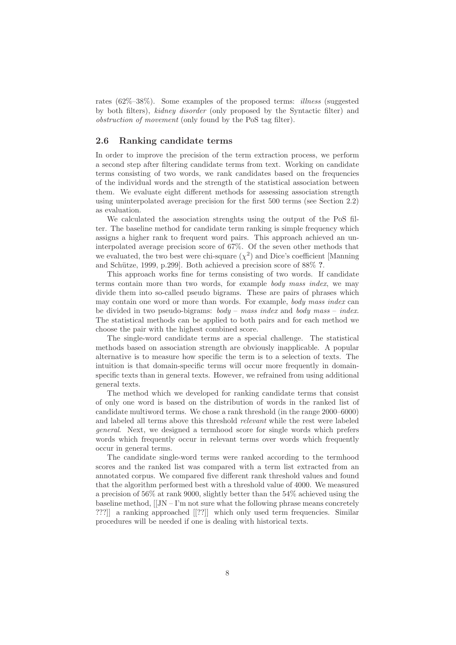rates (62%–38%). Some examples of the proposed terms: illness (suggested by both filters), kidney disorder (only proposed by the Syntactic filter) and obstruction of movement (only found by the PoS tag filter).

### 2.6 Ranking candidate terms

In order to improve the precision of the term extraction process, we perform a second step after filtering candidate terms from text. Working on candidate terms consisting of two words, we rank candidates based on the frequencies of the individual words and the strength of the statistical association between them. We evaluate eight different methods for assessing association strength using uninterpolated average precision for the first 500 terms (see Section 2.2) as evaluation.

We calculated the association strenghts using the output of the PoS filter. The baseline method for candidate term ranking is simple frequency which assigns a higher rank to frequent word pairs. This approach achieved an uninterpolated average precision score of 67%. Of the seven other methods that we evaluated, the two best were chi-square  $(\chi^2)$  and Dice's coefficient [Manning and Schütze, 1999, p.299]. Both achieved a precision score of 88% ?.

This approach works fine for terms consisting of two words. If candidate terms contain more than two words, for example *body mass index*, we may divide them into so-called pseudo bigrams. These are pairs of phrases which may contain one word or more than words. For example, body mass index can be divided in two pseudo-bigrams:  $body - mass\ index$  and  $body\ mass - index$ . The statistical methods can be applied to both pairs and for each method we choose the pair with the highest combined score.

The single-word candidate terms are a special challenge. The statistical methods based on association strength are obviously inapplicable. A popular alternative is to measure how specific the term is to a selection of texts. The intuition is that domain-specific terms will occur more frequently in domainspecific texts than in general texts. However, we refrained from using additional general texts.

The method which we developed for ranking candidate terms that consist of only one word is based on the distribution of words in the ranked list of candidate multiword terms. We chose a rank threshold (in the range 2000–6000) and labeled all terms above this threshold relevant while the rest were labeled general. Next, we designed a termhood score for single words which prefers words which frequently occur in relevant terms over words which frequently occur in general terms.

The candidate single-word terms were ranked according to the termhood scores and the ranked list was compared with a term list extracted from an annotated corpus. We compared five different rank threshold values and found that the algorithm performed best with a threshold value of 4000. We measured a precision of 56% at rank 9000, slightly better than the 54% achieved using the baseline method,  $[[JN - I'm not sure what the following phrase means concretely$ ???]] a ranking approached [[??]] which only used term frequencies. Similar procedures will be needed if one is dealing with historical texts.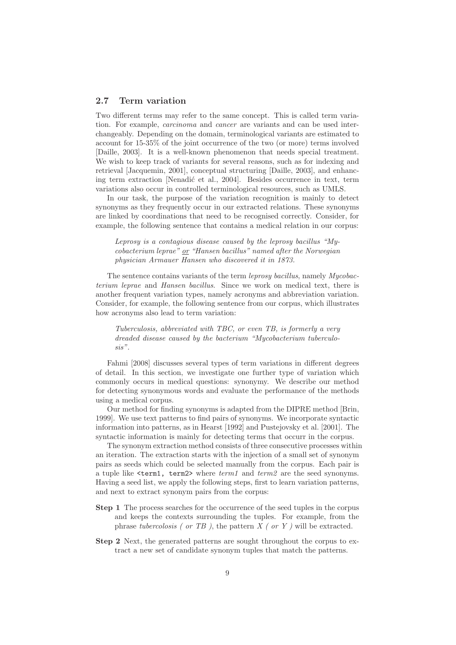#### 2.7 Term variation

Two different terms may refer to the same concept. This is called term variation. For example, carcinoma and cancer are variants and can be used interchangeably. Depending on the domain, terminological variants are estimated to account for 15-35% of the joint occurrence of the two (or more) terms involved [Daille, 2003]. It is a well-known phenomenon that needs special treatment. We wish to keep track of variants for several reasons, such as for indexing and retrieval [Jacquemin, 2001], conceptual structuring [Daille, 2003], and enhancing term extraction [Nenadić et al., 2004]. Besides occurrence in text, term variations also occur in controlled terminological resources, such as UMLS.

In our task, the purpose of the variation recognition is mainly to detect synonyms as they frequently occur in our extracted relations. These synonyms are linked by coordinations that need to be recognised correctly. Consider, for example, the following sentence that contains a medical relation in our corpus:

Leprosy is a contagious disease caused by the leprosy bacillus "Mycobacterium leprae" or "Hansen bacillus" named after the Norwegian physician Armauer Hansen who discovered it in 1873.

The sentence contains variants of the term leprosy bacillus, namely Mycobacterium leprae and Hansen bacillus. Since we work on medical text, there is another frequent variation types, namely acronyms and abbreviation variation. Consider, for example, the following sentence from our corpus, which illustrates how acronyms also lead to term variation:

Tuberculosis, abbreviated with TBC, or even TB, is formerly a very dreaded disease caused by the bacterium "Mycobacterium tuberculosis".

Fahmi [2008] discusses several types of term variations in different degrees of detail. In this section, we investigate one further type of variation which commonly occurs in medical questions: synonymy. We describe our method for detecting synonymous words and evaluate the performance of the methods using a medical corpus.

Our method for finding synonyms is adapted from the DIPRE method [Brin, 1999]. We use text patterns to find pairs of synonyms. We incorporate syntactic information into patterns, as in Hearst [1992] and Pustejovsky et al. [2001]. The syntactic information is mainly for detecting terms that occurr in the corpus.

The synonym extraction method consists of three consecutive processes within an iteration. The extraction starts with the injection of a small set of synonym pairs as seeds which could be selected manually from the corpus. Each pair is a tuple like <term1, term2> where term1 and term2 are the seed synonyms. Having a seed list, we apply the following steps, first to learn variation patterns, and next to extract synonym pairs from the corpus:

- Step 1 The process searches for the occurrence of the seed tuples in the corpus and keeps the contexts surrounding the tuples. For example, from the phrase tubercolosis (or  $TB$ ), the pattern  $X$  (or  $Y$ ) will be extracted.
- Step 2 Next, the generated patterns are sought throughout the corpus to extract a new set of candidate synonym tuples that match the patterns.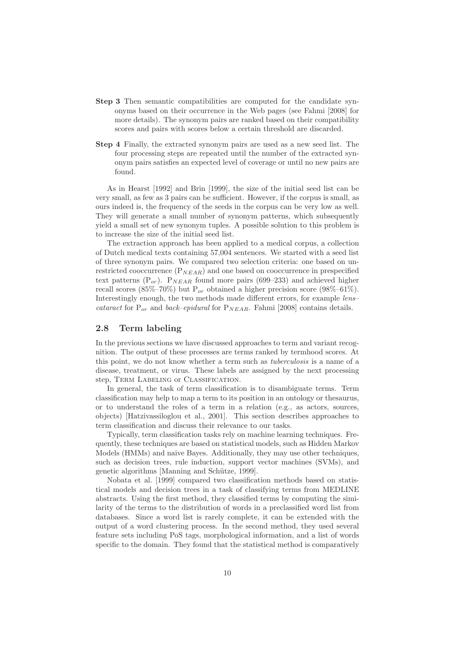- Step 3 Then semantic compatibilities are computed for the candidate synonyms based on their occurrence in the Web pages (see Fahmi [2008] for more details). The synonym pairs are ranked based on their compatibility scores and pairs with scores below a certain threshold are discarded.
- Step 4 Finally, the extracted synonym pairs are used as a new seed list. The four processing steps are repeated until the number of the extracted synonym pairs satisfies an expected level of coverage or until no new pairs are found.

As in Hearst [1992] and Brin [1999], the size of the initial seed list can be very small, as few as 3 pairs can be sufficient. However, if the corpus is small, as ours indeed is, the frequency of the seeds in the corpus can be very low as well. They will generate a small number of synonym patterns, which subsequently yield a small set of new synonym tuples. A possible solution to this problem is to increase the size of the initial seed list.

The extraction approach has been applied to a medical corpus, a collection of Dutch medical texts containing 57,004 sentences. We started with a seed list of three synonym pairs. We compared two selection criteria: one based on unrestricted cooccurrence  $(P_{NEAR})$  and one based on cooccurrence in prespecified text patterns  $(P_{or})$ .  $P_{NEAR}$  found more pairs (699–233) and achieved higher recall scores (85%–70%) but  $P_{or}$  obtained a higher precision score (98%–61%). Interestingly enough, the two methods made different errors, for example lens– *cataract* for  $P_{or}$  and *back–epidural* for  $P_{NEAR}$ . Fahmi [2008] contains details.

### 2.8 Term labeling

In the previous sections we have discussed approaches to term and variant recognition. The output of these processes are terms ranked by termhood scores. At this point, we do not know whether a term such as *tuberculosis* is a name of a disease, treatment, or virus. These labels are assigned by the next processing step, TERM LABELING or CLASSIFICATION.

In general, the task of term classification is to disambiguate terms. Term classification may help to map a term to its position in an ontology or thesaurus, or to understand the roles of a term in a relation (e.g., as actors, sources, objects) [Hatzivassiloglou et al., 2001]. This section describes approaches to term classification and discuss their relevance to our tasks.

Typically, term classification tasks rely on machine learning techniques. Frequently, these techniques are based on statistical models, such as Hidden Markov Models (HMMs) and naive Bayes. Additionally, they may use other techniques, such as decision trees, rule induction, support vector machines (SVMs), and genetic algorithms [Manning and Schütze, 1999].

Nobata et al. [1999] compared two classification methods based on statistical models and decision trees in a task of classifying terms from MEDLINE abstracts. Using the first method, they classified terms by computing the similarity of the terms to the distribution of words in a preclassified word list from databases. Since a word list is rarely complete, it can be extended with the output of a word clustering process. In the second method, they used several feature sets including PoS tags, morphological information, and a list of words specific to the domain. They found that the statistical method is comparatively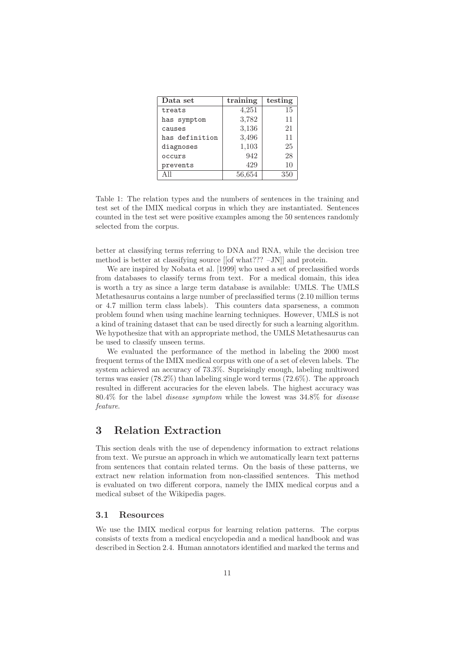| Data set       | training | testing |  |
|----------------|----------|---------|--|
| treats         | 4,251    | 15      |  |
| has symptom    | 3,782    | 11      |  |
| causes         | 3,136    | 21      |  |
| has definition | 3,496    | 11      |  |
| diagnoses      | 1,103    | 25      |  |
| occurs         | 942      | 28      |  |
| prevents       | 429      | 10      |  |
|                | 56,654   | 350     |  |

Table 1: The relation types and the numbers of sentences in the training and test set of the IMIX medical corpus in which they are instantiated. Sentences counted in the test set were positive examples among the 50 sentences randomly selected from the corpus.

better at classifying terms referring to DNA and RNA, while the decision tree method is better at classifying source [[of what??? –JN]] and protein.

We are inspired by Nobata et al. [1999] who used a set of preclassified words from databases to classify terms from text. For a medical domain, this idea is worth a try as since a large term database is available: UMLS. The UMLS Metathesaurus contains a large number of preclassified terms (2.10 million terms or 4.7 million term class labels). This counters data sparseness, a common problem found when using machine learning techniques. However, UMLS is not a kind of training dataset that can be used directly for such a learning algorithm. We hypothesize that with an appropriate method, the UMLS Metathesaurus can be used to classify unseen terms.

We evaluated the performance of the method in labeling the 2000 most frequent terms of the IMIX medical corpus with one of a set of eleven labels. The system achieved an accuracy of 73.3%. Suprisingly enough, labeling multiword terms was easier (78.2%) than labeling single word terms (72.6%). The approach resulted in different accuracies for the eleven labels. The highest accuracy was 80.4% for the label disease symptom while the lowest was 34.8% for disease feature.

## 3 Relation Extraction

This section deals with the use of dependency information to extract relations from text. We pursue an approach in which we automatically learn text patterns from sentences that contain related terms. On the basis of these patterns, we extract new relation information from non-classified sentences. This method is evaluated on two different corpora, namely the IMIX medical corpus and a medical subset of the Wikipedia pages.

#### 3.1 Resources

We use the IMIX medical corpus for learning relation patterns. The corpus consists of texts from a medical encyclopedia and a medical handbook and was described in Section 2.4. Human annotators identified and marked the terms and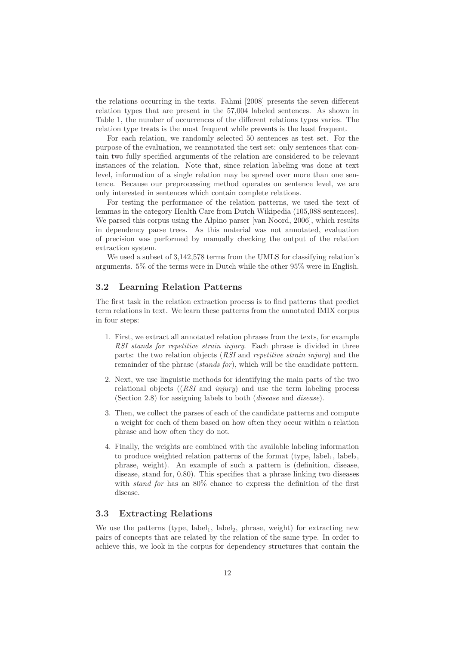the relations occurring in the texts. Fahmi [2008] presents the seven different relation types that are present in the 57,004 labeled sentences. As shown in Table 1, the number of occurrences of the different relations types varies. The relation type treats is the most frequent while prevents is the least frequent.

For each relation, we randomly selected 50 sentences as test set. For the purpose of the evaluation, we reannotated the test set: only sentences that contain two fully specified arguments of the relation are considered to be relevant instances of the relation. Note that, since relation labeling was done at text level, information of a single relation may be spread over more than one sentence. Because our preprocessing method operates on sentence level, we are only interested in sentences which contain complete relations.

For testing the performance of the relation patterns, we used the text of lemmas in the category Health Care from Dutch Wikipedia (105,088 sentences). We parsed this corpus using the Alpino parser [van Noord, 2006], which results in dependency parse trees. As this material was not annotated, evaluation of precision was performed by manually checking the output of the relation extraction system.

We used a subset of 3,142,578 terms from the UMLS for classifying relation's arguments. 5% of the terms were in Dutch while the other 95% were in English.

#### 3.2 Learning Relation Patterns

The first task in the relation extraction process is to find patterns that predict term relations in text. We learn these patterns from the annotated IMIX corpus in four steps:

- 1. First, we extract all annotated relation phrases from the texts, for example RSI stands for repetitive strain injury. Each phrase is divided in three parts: the two relation objects (RSI and repetitive strain injury) and the remainder of the phrase (stands for), which will be the candidate pattern.
- 2. Next, we use linguistic methods for identifying the main parts of the two relational objects  $((RSI \text{ and } injury)$  and use the term labeling process (Section 2.8) for assigning labels to both (disease and disease).
- 3. Then, we collect the parses of each of the candidate patterns and compute a weight for each of them based on how often they occur within a relation phrase and how often they do not.
- 4. Finally, the weights are combined with the available labeling information to produce weighted relation patterns of the format (type,  $label_1$ ,  $label_2$ ,  $label_3$ ), phrase, weight). An example of such a pattern is (definition, disease, disease, stand for, 0.80). This specifies that a phrase linking two diseases with *stand for* has an  $80\%$  chance to express the definition of the first disease.

#### 3.3 Extracting Relations

We use the patterns (type,  $label_1$ ,  $label_2$ ,  $phrase$ , weight) for extracting new pairs of concepts that are related by the relation of the same type. In order to achieve this, we look in the corpus for dependency structures that contain the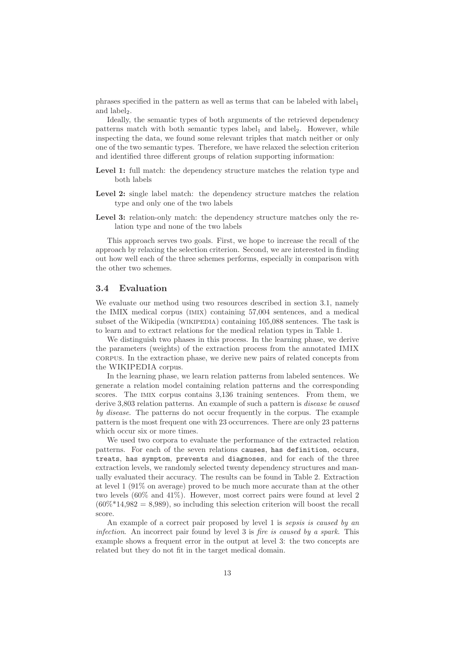phrases specified in the pattern as well as terms that can be labeled with  $\text{label}_1$ and label<sub>2</sub>.

Ideally, the semantic types of both arguments of the retrieved dependency patterns match with both semantic types label<sub>1</sub> and label<sub>2</sub>. However, while inspecting the data, we found some relevant triples that match neither or only one of the two semantic types. Therefore, we have relaxed the selection criterion and identified three different groups of relation supporting information:

- Level 1: full match: the dependency structure matches the relation type and both labels
- Level 2: single label match: the dependency structure matches the relation type and only one of the two labels
- Level 3: relation-only match: the dependency structure matches only the relation type and none of the two labels

This approach serves two goals. First, we hope to increase the recall of the approach by relaxing the selection criterion. Second, we are interested in finding out how well each of the three schemes performs, especially in comparison with the other two schemes.

### 3.4 Evaluation

We evaluate our method using two resources described in section 3.1, namely the IMIX medical corpus (imix) containing 57,004 sentences, and a medical subset of the Wikipedia (wikipedia) containing 105,088 sentences. The task is to learn and to extract relations for the medical relation types in Table 1.

We distinguish two phases in this process. In the learning phase, we derive the parameters (weights) of the extraction process from the annotated IMIX corpus. In the extraction phase, we derive new pairs of related concepts from the WIKIPEDIA corpus.

In the learning phase, we learn relation patterns from labeled sentences. We generate a relation model containing relation patterns and the corresponding scores. The imix corpus contains 3,136 training sentences. From them, we derive 3,803 relation patterns. An example of such a pattern is *disease be caused* by disease. The patterns do not occur frequently in the corpus. The example pattern is the most frequent one with 23 occurrences. There are only 23 patterns which occur six or more times.

We used two corpora to evaluate the performance of the extracted relation patterns. For each of the seven relations causes, has definition, occurs, treats, has symptom, prevents and diagnoses, and for each of the three extraction levels, we randomly selected twenty dependency structures and manually evaluated their accuracy. The results can be found in Table 2. Extraction at level 1 (91% on average) proved to be much more accurate than at the other two levels (60% and 41%). However, most correct pairs were found at level 2  $(60\% *14,982 = 8,989)$ , so including this selection criterion will boost the recall score.

An example of a correct pair proposed by level 1 is sepsis is caused by an infection. An incorrect pair found by level 3 is fire is caused by a spark. This example shows a frequent error in the output at level 3: the two concepts are related but they do not fit in the target medical domain.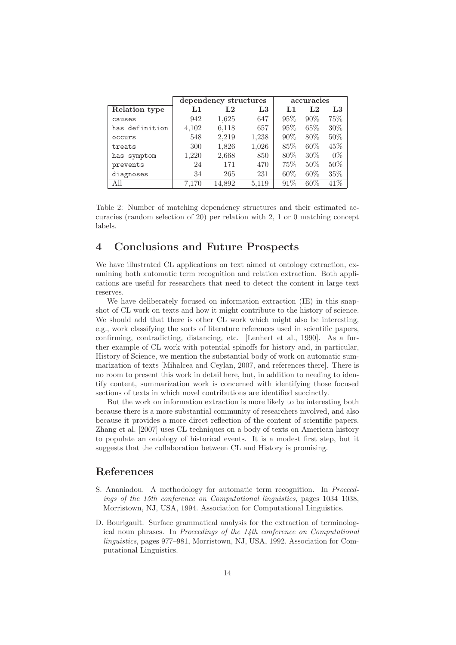|                | dependency structures |          |       | accuracies |          |        |
|----------------|-----------------------|----------|-------|------------|----------|--------|
| Relation type  | L1                    | $\rm L2$ | L3    | L1         | $\rm L2$ | L3     |
| causes         | 942                   | 1,625    | 647   | 95%        | 90%      | 75%    |
| has definition | 4,102                 | 6,118    | 657   | 95%        | 65%      | $30\%$ |
| occurs         | 548                   | 2.219    | 1,238 | 90%        | 80%      | 50%    |
| treats         | 300                   | 1,826    | 1,026 | 85%        | 60\%     | 45%    |
| has symptom    | 1.220                 | 2,668    | 850   | 80\%       | $30\%$   | $0\%$  |
| prevents       | 24                    | 171      | 470   | 75\%       | 50%      | 50%    |
| diagnoses      | 34                    | 265      | 231   | 60\%       | 60\%     | 35%    |
| All            | 7.170                 | 14.892   | 5,119 | 91%        | 60%      | 41%    |

Table 2: Number of matching dependency structures and their estimated accuracies (random selection of 20) per relation with 2, 1 or 0 matching concept labels.

## 4 Conclusions and Future Prospects

We have illustrated CL applications on text aimed at ontology extraction, examining both automatic term recognition and relation extraction. Both applications are useful for researchers that need to detect the content in large text reserves.

We have deliberately focused on information extraction (IE) in this snapshot of CL work on texts and how it might contribute to the history of science. We should add that there is other CL work which might also be interesting, e.g., work classifying the sorts of literature references used in scientific papers, confirming, contradicting, distancing, etc. [Lenhert et al., 1990]. As a further example of CL work with potential spinoffs for history and, in particular, History of Science, we mention the substantial body of work on automatic summarization of texts [Mihalcea and Ceylan, 2007, and references there]. There is no room to present this work in detail here, but, in addition to needing to identify content, summarization work is concerned with identifying those focused sections of texts in which novel contributions are identified succinctly.

But the work on information extraction is more likely to be interesting both because there is a more substantial community of researchers involved, and also because it provides a more direct reflection of the content of scientific papers. Zhang et al. [2007] uses CL techniques on a body of texts on American history to populate an ontology of historical events. It is a modest first step, but it suggests that the collaboration between CL and History is promising.

## References

- S. Ananiadou. A methodology for automatic term recognition. In Proceedings of the 15th conference on Computational linguistics, pages 1034–1038, Morristown, NJ, USA, 1994. Association for Computational Linguistics.
- D. Bourigault. Surface grammatical analysis for the extraction of terminological noun phrases. In Proceedings of the 14th conference on Computational linguistics, pages 977–981, Morristown, NJ, USA, 1992. Association for Computational Linguistics.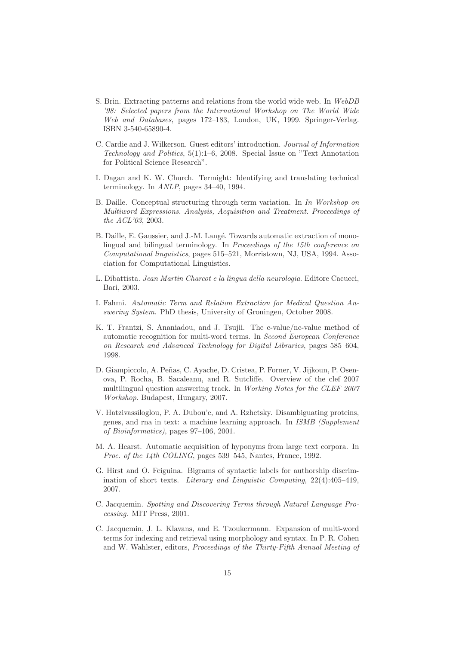- S. Brin. Extracting patterns and relations from the world wide web. In WebDB '98: Selected papers from the International Workshop on The World Wide Web and Databases, pages 172–183, London, UK, 1999. Springer-Verlag. ISBN 3-540-65890-4.
- C. Cardie and J. Wilkerson. Guest editors' introduction. Journal of Information Technology and Politics, 5(1):1–6, 2008. Special Issue on "Text Annotation for Political Science Research".
- I. Dagan and K. W. Church. Termight: Identifying and translating technical terminology. In ANLP, pages 34–40, 1994.
- B. Daille. Conceptual structuring through term variation. In In Workshop on Multiword Expressions. Analysis, Acquisition and Treatment. Proceedings of the ACL'03, 2003.
- B. Daille, E. Gaussier, and J.-M. Langé. Towards automatic extraction of monolingual and bilingual terminology. In Proceedings of the 15th conference on Computational linguistics, pages 515–521, Morristown, NJ, USA, 1994. Association for Computational Linguistics.
- L. Dibattista. Jean Martin Charcot e la lingua della neurologia. Editore Cacucci, Bari, 2003.
- I. Fahmi. Automatic Term and Relation Extraction for Medical Question Answering System. PhD thesis, University of Groningen, October 2008.
- K. T. Frantzi, S. Ananiadou, and J. Tsujii. The c-value/nc-value method of automatic recognition for multi-word terms. In Second European Conference on Research and Advanced Technology for Digital Libraries, pages 585–604, 1998.
- D. Giampiccolo, A. Peñas, C. Ayache, D. Cristea, P. Forner, V. Jijkoun, P. Osenova, P. Rocha, B. Sacaleanu, and R. Sutcliffe. Overview of the clef 2007 multilingual question answering track. In Working Notes for the CLEF 2007 Workshop. Budapest, Hungary, 2007.
- V. Hatzivassiloglou, P. A. Dubou'e, and A. Rzhetsky. Disambiguating proteins, genes, and rna in text: a machine learning approach. In ISMB (Supplement of Bioinformatics), pages 97–106, 2001.
- M. A. Hearst. Automatic acquisition of hyponyms from large text corpora. In Proc. of the 14th COLING, pages 539-545, Nantes, France, 1992.
- G. Hirst and O. Feiguina. Bigrams of syntactic labels for authorship discrimination of short texts. Literary and Linguistic Computing, 22(4):405–419, 2007.
- C. Jacquemin. Spotting and Discovering Terms through Natural Language Processing. MIT Press, 2001.
- C. Jacquemin, J. L. Klavans, and E. Tzoukermann. Expansion of multi-word terms for indexing and retrieval using morphology and syntax. In P. R. Cohen and W. Wahlster, editors, Proceedings of the Thirty-Fifth Annual Meeting of